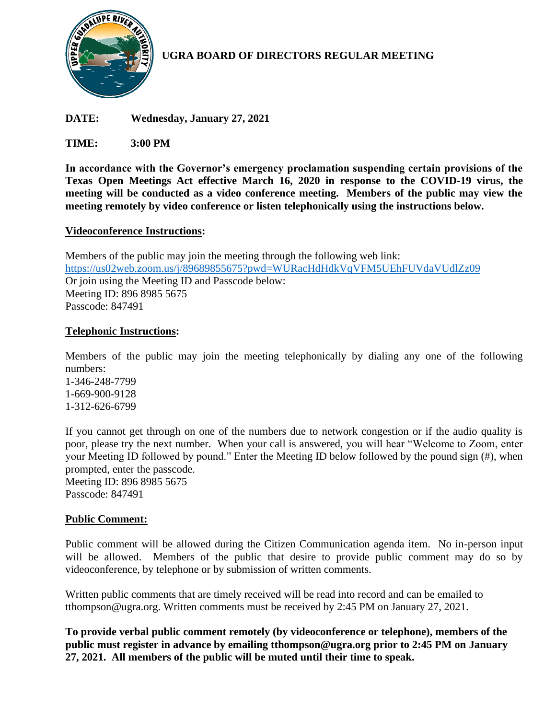

# **UGRA BOARD OF DIRECTORS REGULAR MEETING**

**DATE: Wednesday, January 27, 2021**

**TIME: 3:00 PM**

**In accordance with the Governor's emergency proclamation suspending certain provisions of the Texas Open Meetings Act effective March 16, 2020 in response to the COVID-19 virus, the meeting will be conducted as a video conference meeting. Members of the public may view the meeting remotely by video conference or listen telephonically using the instructions below.**

### **Videoconference Instructions:**

Members of the public may join the meeting through the following web link: <https://us02web.zoom.us/j/89689855675?pwd=WURacHdHdkVqVFM5UEhFUVdaVUdlZz09> Or join using the Meeting ID and Passcode below: Meeting ID: 896 8985 5675 Passcode: 847491

#### **Telephonic Instructions:**

Members of the public may join the meeting telephonically by dialing any one of the following numbers:

1-346-248-7799 1-669-900-9128 1-312-626-6799

If you cannot get through on one of the numbers due to network congestion or if the audio quality is poor, please try the next number. When your call is answered, you will hear "Welcome to Zoom, enter your Meeting ID followed by pound." Enter the Meeting ID below followed by the pound sign (#), when prompted, enter the passcode. Meeting ID: 896 8985 5675 Passcode: 847491

### **Public Comment:**

Public comment will be allowed during the Citizen Communication agenda item. No in-person input will be allowed. Members of the public that desire to provide public comment may do so by videoconference, by telephone or by submission of written comments.

Written public comments that are timely received will be read into record and can be emailed to tthompson@ugra.org. Written comments must be received by 2:45 PM on January 27, 2021.

**To provide verbal public comment remotely (by videoconference or telephone), members of the public must register in advance by emailing tthompson@ugra.org prior to 2:45 PM on January 27, 2021. All members of the public will be muted until their time to speak.**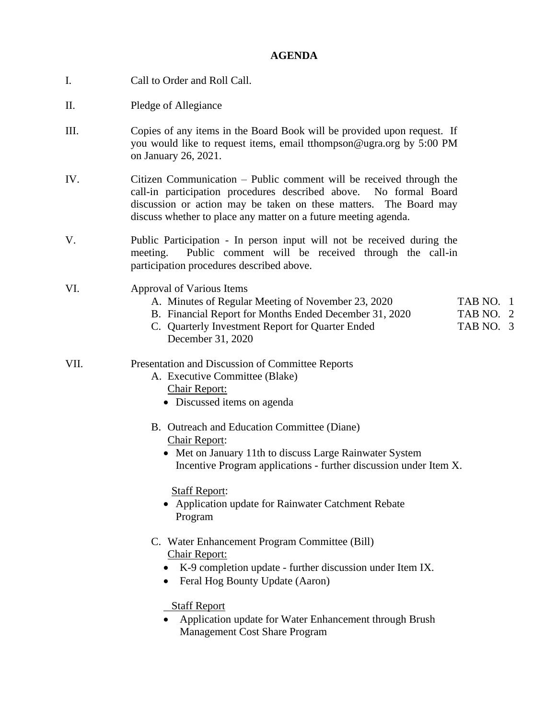## **AGENDA**

| Ι.   | Call to Order and Roll Call.                                                                                                                                                                                                                                                           |  |  |  |
|------|----------------------------------------------------------------------------------------------------------------------------------------------------------------------------------------------------------------------------------------------------------------------------------------|--|--|--|
| П.   | Pledge of Allegiance                                                                                                                                                                                                                                                                   |  |  |  |
| III. | Copies of any items in the Board Book will be provided upon request. If<br>you would like to request items, email tthompson@ugra.org by 5:00 PM<br>on January 26, 2021.                                                                                                                |  |  |  |
| IV.  | Citizen Communication – Public comment will be received through the<br>call-in participation procedures described above.<br>No formal Board<br>discussion or action may be taken on these matters. The Board may<br>discuss whether to place any matter on a future meeting agenda.    |  |  |  |
| V.   | Public Participation - In person input will not be received during the<br>Public comment will be received through the call-in<br>meeting.<br>participation procedures described above.                                                                                                 |  |  |  |
| VI.  | Approval of Various Items<br>A. Minutes of Regular Meeting of November 23, 2020<br>TAB NO. 1<br>B. Financial Report for Months Ended December 31, 2020<br>TAB NO. 2<br>C. Quarterly Investment Report for Quarter Ended<br>TAB NO. 3<br>December 31, 2020                              |  |  |  |
| VII. | Presentation and Discussion of Committee Reports<br>A. Executive Committee (Blake)<br><b>Chair Report:</b><br>• Discussed items on agenda                                                                                                                                              |  |  |  |
|      | B. Outreach and Education Committee (Diane)<br>Chair Report:<br>• Met on January 11th to discuss Large Rainwater System<br>Incentive Program applications - further discussion under Item X.<br><b>Staff Report:</b><br>• Application update for Rainwater Catchment Rebate<br>Program |  |  |  |
|      | C. Water Enhancement Program Committee (Bill)<br>Chair Report:<br>K-9 completion update - further discussion under Item IX.<br>Feral Hog Bounty Update (Aaron)<br><b>Staff Report</b>                                                                                                  |  |  |  |
|      | Application update for Water Enhancement through Brush<br>Management Cost Share Program                                                                                                                                                                                                |  |  |  |